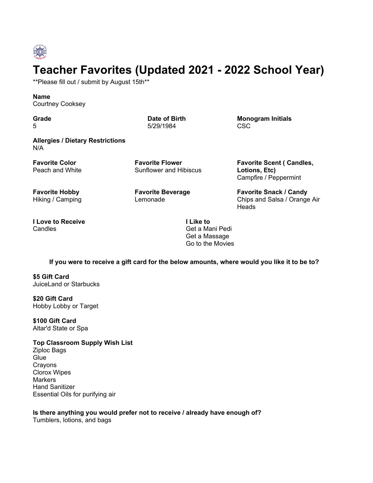

## **Teacher Favorites (Updated 2021 - 2022 School Year)**

\*\*Please fill out / submit by August 15th\*\*

## **Name**

Courtney Cooksey

**Grade** 5

**Date of Birth** 5/29/1984

**Monogram Initials** CSC

**Allergies / Dietary Restrictions** N/A

**Favorite Color** Peach and White **Favorite Flower** Sunflower and Hibiscus

**Favorite Hobby** Hiking / Camping **Favorite Beverage** Lemonade

**Favorite Scent ( Candles, Lotions, Etc)** Campfire / Peppermint

**Favorite Snack / Candy** Chips and Salsa / Orange Air **Heads** 

**I Love to Receive Candles** 

**I Like to** Get a Mani Pedi Get a Massage Go to the Movies

If you were to receive a gift card for the below amounts, where would you like it to be to?

**\$5 Gift Card** JuiceLand or Starbucks

**\$20 Gift Card** Hobby Lobby or Target

**\$100 Gift Card** Altar'd State or Spa

**Top Classroom Supply Wish List**

Ziploc Bags **Glue** Crayons Clorox Wipes **Markers** Hand Sanitizer Essential Oils for purifying air

**Is there anything you would prefer not to receive / already have enough of?**

Tumblers, lotions, and bags